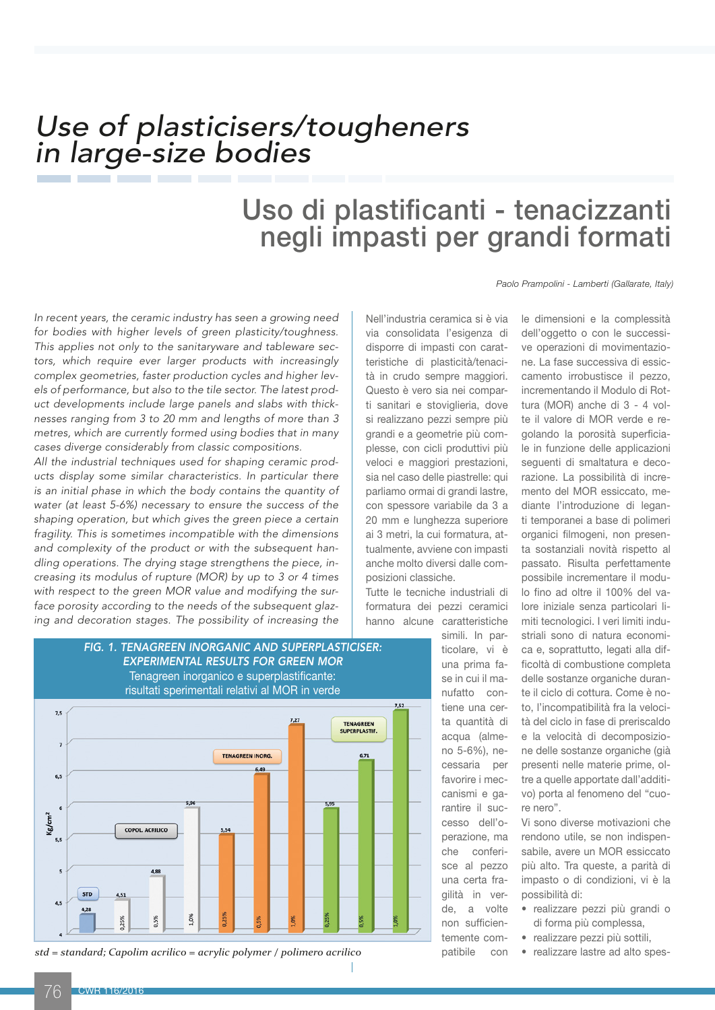# *Use of plasticisers/tougheners in large-size bodies*

# Uso di plastificanti - tenacizzanti negli impasti per grandi formati

*Paolo Prampolini - Lamberti (Gallarate, Italy)*

*In recent years, the ceramic industry has seen a growing need for bodies with higher levels of green plasticity/toughness. This applies not only to the sanitaryware and tableware sectors, which require ever larger products with increasingly complex geometries, faster production cycles and higher levels of performance, but also to the tile sector. The latest product developments include large panels and slabs with thicknesses ranging from 3 to 20 mm and lengths of more than 3 metres, which are currently formed using bodies that in many cases diverge considerably from classic compositions.* 

*All the industrial techniques used for shaping ceramic products display some similar characteristics. In particular there is an initial phase in which the body contains the quantity of water (at least 5-6%) necessary to ensure the success of the shaping operation, but which gives the green piece a certain fragility. This is sometimes incompatible with the dimensions and complexity of the product or with the subsequent handling operations. The drying stage strengthens the piece, increasing its modulus of rupture (MOR) by up to 3 or 4 times with respect to the green MOR value and modifying the surface porosity according to the needs of the subsequent glazing and decoration stages. The possibility of increasing the* 

Nell'industria ceramica si è via via consolidata l'esigenza di disporre di impasti con caratteristiche di plasticità/tenacità in crudo sempre maggiori. Questo è vero sia nei comparti sanitari e stoviglieria, dove si realizzano pezzi sempre più grandi e a geometrie più complesse, con cicli produttivi più veloci e maggiori prestazioni, sia nel caso delle piastrelle: qui parliamo ormai di grandi lastre, con spessore variabile da 3 a 20 mm e lunghezza superiore ai 3 metri, la cui formatura, attualmente, avviene con impasti anche molto diversi dalle composizioni classiche.

Tutte le tecniche industriali di formatura dei pezzi ceramici hanno alcune caratteristiche



1

*std = standard; Capolim acrilico = acrylic polymer / polimero acrilico*

simili. In particolare, vi è una prima fase in cui il manufatto contiene una certa quantità di acqua (almeno 5-6%), necessaria per favorire i meccanismi e garantire il successo dell'operazione, ma che conferisce al pezzo una certa fragilità in verde, a volte non sufficientemente compatibile con

le dimensioni e la complessità dell'oggetto o con le successive operazioni di movimentazione. La fase successiva di essiccamento irrobustisce il pezzo, incrementando il Modulo di Rottura (MOR) anche di 3 - 4 volte il valore di MOR verde e regolando la porosità superficiale in funzione delle applicazioni seguenti di smaltatura e decorazione. La possibilità di incremento del MOR essiccato, mediante l'introduzione di leganti temporanei a base di polimeri organici filmogeni, non presenta sostanziali novità rispetto al passato. Risulta perfettamente possibile incrementare il modulo fino ad oltre il 100% del valore iniziale senza particolari limiti tecnologici. I veri limiti industriali sono di natura economica e, soprattutto, legati alla difficoltà di combustione completa delle sostanze organiche durante il ciclo di cottura. Come è noto, l'incompatibilità fra la velocità del ciclo in fase di preriscaldo e la velocità di decomposizione delle sostanze organiche (già presenti nelle materie prime, oltre a quelle apportate dall'additivo) porta al fenomeno del "cuore nero".

Vi sono diverse motivazioni che rendono utile, se non indispensabile, avere un MOR essiccato più alto. Tra queste, a parità di impasto o di condizioni, vi è la possibilità di:

- realizzare pezzi più grandi o di forma più complessa,
- realizzare pezzi più sottili,
- realizzare lastre ad alto spes-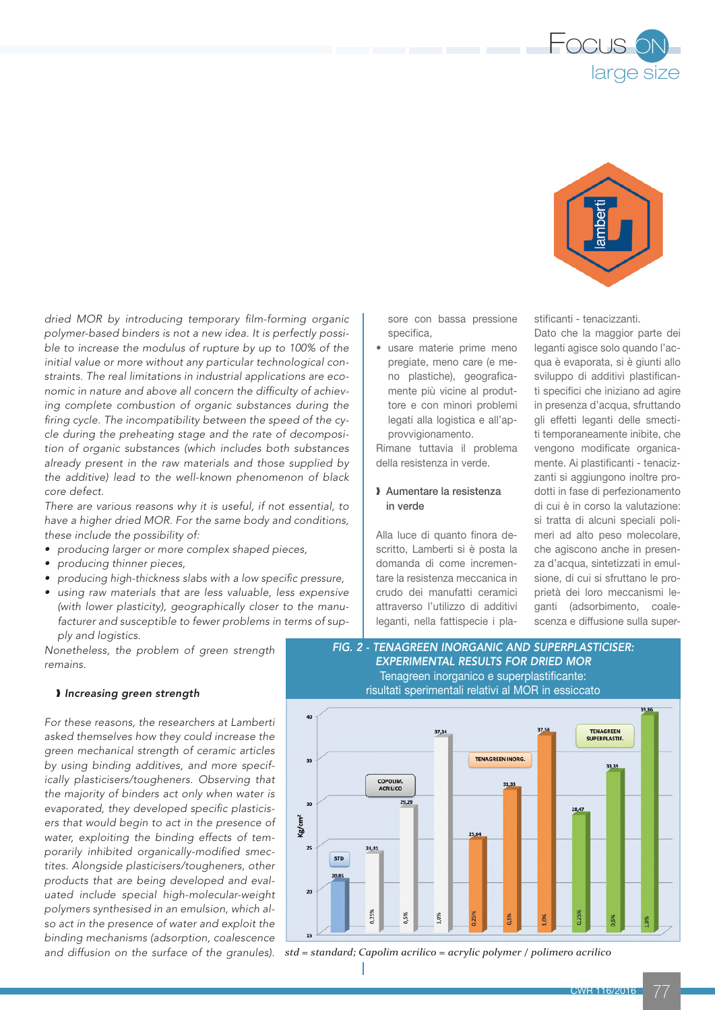



*dried MOR by introducing temporary film-forming organic polymer-based binders is not a new idea. It is perfectly possible to increase the modulus of rupture by up to 100% of the initial value or more without any particular technological constraints. The real limitations in industrial applications are economic in nature and above all concern the difficulty of achieving complete combustion of organic substances during the firing cycle. The incompatibility between the speed of the cycle during the preheating stage and the rate of decomposition of organic substances (which includes both substances already present in the raw materials and those supplied by the additive) lead to the well-known phenomenon of black core defect.* 

*There are various reasons why it is useful, if not essential, to have a higher dried MOR. For the same body and conditions, these include the possibility of:*

- *• producing larger or more complex shaped pieces,*
- *• producing thinner pieces,*
- *• producing high-thickness slabs with a low specific pressure,*
- *• using raw materials that are less valuable, less expensive (with lower plasticity), geographically closer to the manufacturer and susceptible to fewer problems in terms of supply and logistics.*

*Nonetheless, the problem of green strength remains.*

#### ❱ *Increasing green strength*

*For these reasons, the researchers at Lamberti asked themselves how they could increase the green mechanical strength of ceramic articles by using binding additives, and more specifically plasticisers/tougheners. Observing that the majority of binders act only when water is evaporated, they developed specific plasticisers that would begin to act in the presence of water, exploiting the binding effects of temporarily inhibited organically-modified smectites. Alongside plasticisers/tougheners, other products that are being developed and evaluated include special high-molecular-weight polymers synthesised in an emulsion, which also act in the presence of water and exploit the binding mechanisms (adsorption, coalescence and diffusion on the surface of the granules).*  sore con bassa pressione specifica,

• usare materie prime meno pregiate, meno care (e meno plastiche), geograficamente più vicine al produttore e con minori problemi legati alla logistica e all'approvvigionamento.

Rimane tuttavia il problema della resistenza in verde.

#### ❱ Aumentare la resistenza in verde

Alla luce di quanto finora descritto, Lamberti si è posta la domanda di come incrementare la resistenza meccanica in crudo dei manufatti ceramici attraverso l'utilizzo di additivi leganti, nella fattispecie i plastificanti - tenacizzanti.

Dato che la maggior parte dei leganti agisce solo quando l'acqua è evaporata, si è giunti allo sviluppo di additivi plastificanti specifici che iniziano ad agire in presenza d'acqua, sfruttando gli effetti leganti delle smectiti temporaneamente inibite, che vengono modificate organicamente. Ai plastificanti - tenacizzanti si aggiungono inoltre prodotti in fase di perfezionamento di cui è in corso la valutazione: si tratta di alcuni speciali polimeri ad alto peso molecolare, che agiscono anche in presenza d'acqua, sintetizzati in emulsione, di cui si sfruttano le proprietà dei loro meccanismi leganti (adsorbimento, coalescenza e diffusione sulla super-

### *FIG. 2 - TENAGREEN INORGANIC AND SUPERPLASTICISER: EXPERIMENTAL RESULTS FOR DRIED MOR*  Tenagreen inorganico e superplastificante: risultati sperimentali relativi al MOR in essiccato



*std = standard; Capolim acrilico = acrylic polymer / polimero acrilico*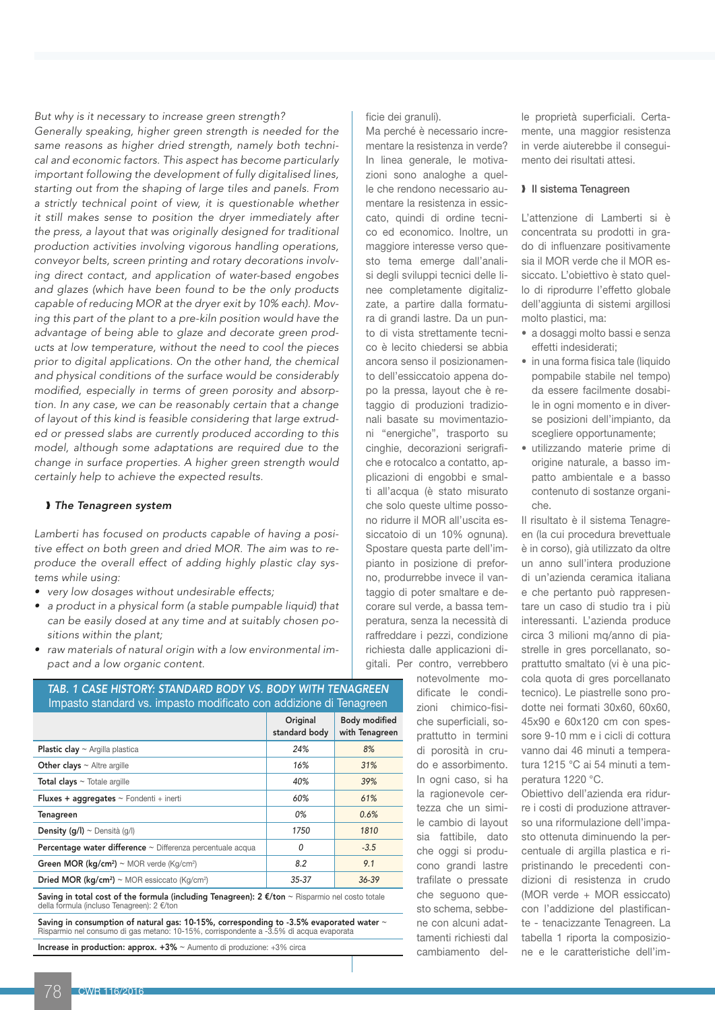*But why is it necessary to increase green strength? Generally speaking, higher green strength is needed for the same reasons as higher dried strength, namely both technical and economic factors. This aspect has become particularly important following the development of fully digitalised lines, starting out from the shaping of large tiles and panels. From a strictly technical point of view, it is questionable whether it still makes sense to position the dryer immediately after the press, a layout that was originally designed for traditional production activities involving vigorous handling operations, conveyor belts, screen printing and rotary decorations involving direct contact, and application of water-based engobes and glazes (which have been found to be the only products capable of reducing MOR at the dryer exit by 10% each). Moving this part of the plant to a pre-kiln position would have the advantage of being able to glaze and decorate green products at low temperature, without the need to cool the pieces prior to digital applications. On the other hand, the chemical and physical conditions of the surface would be considerably modified, especially in terms of green porosity and absorption. In any case, we can be reasonably certain that a change of layout of this kind is feasible considering that large extruded or pressed slabs are currently produced according to this model, although some adaptations are required due to the change in surface properties. A higher green strength would certainly help to achieve the expected results.*

# ❱ *The Tenagreen system*

*Lamberti has focused on products capable of having a positive effect on both green and dried MOR. The aim was to reproduce the overall effect of adding highly plastic clay systems while using:*

- *• very low dosages without undesirable effects;*
- *• a product in a physical form (a stable pumpable liquid) that can be easily dosed at any time and at suitably chosen positions within the plant;*
- *• raw materials of natural origin with a low environmental impact and a low organic content.*

### **Original** standard body Body modified with Tenagreen Plastic clay ~ Argilla plastica **24% 8% Other clays** ~ Altre argille **16% 31% 31%** Total clays ~ Totale argille *40% 39%* Fluxes + aggregates ~ Fondenti + inerti *60% 61%* Tenagreen *0% 0.6%* Density (g/l) ~ Densità (g/l) *1750 1810*

*TAB. 1 CASE HISTORY: STANDARD BODY VS. BODY WITH TENAGREEN* Impasto standard vs. impasto modificato con addizione di Tenagreen

Dried MOR (kg/cm<sup>2</sup>) ~ MOR essiccato (Kg/cm<sup>2</sup>) ) *35-37 36-39* Saving in total cost of the formula (including Tenagreen):  $2 \cdot \epsilon / \text{ton} \sim \text{Risparamio}$  nel costo totale della formula (incluso Tenagreen): 2 €/ton

) *8.2 9.1*

Percentage water difference ~ Differenza percentuale acqua **0 0 -3.5** 

Saving in consumption of natural gas: 10-15%, corresponding to -3.5% evaporated water  $\sim$ Risparmio nel consumo di gas metano: 10-15%, corrispondente a -3.5% di acqua evaporata

Increase in production: approx.  $+3\%$   $\sim$  Aumento di produzione:  $+3\%$  circa

ficie dei granuli).

Ma perché è necessario incrementare la resistenza in verde? In linea generale, le motivazioni sono analoghe a quelle che rendono necessario aumentare la resistenza in essiccato, quindi di ordine tecnico ed economico. Inoltre, un maggiore interesse verso questo tema emerge dall'analisi degli sviluppi tecnici delle linee completamente digitalizzate, a partire dalla formatura di grandi lastre. Da un punto di vista strettamente tecnico è lecito chiedersi se abbia ancora senso il posizionamento dell'essiccatoio appena dopo la pressa, layout che è retaggio di produzioni tradizionali basate su movimentazioni "energiche", trasporto su cinghie, decorazioni serigrafiche e rotocalco a contatto, applicazioni di engobbi e smalti all'acqua (è stato misurato che solo queste ultime possono ridurre il MOR all'uscita essiccatoio di un 10% ognuna). Spostare questa parte dell'impianto in posizione di preforno, produrrebbe invece il vantaggio di poter smaltare e decorare sul verde, a bassa temperatura, senza la necessità di raffreddare i pezzi, condizione richiesta dalle applicazioni digitali. Per contro, verrebbero

> notevolmente modificate le condizioni chimico-fisiche superficiali, soprattutto in termini di porosità in crudo e assorbimento. In ogni caso, si ha la ragionevole certezza che un simile cambio di layout sia fattibile, dato che oggi si producono grandi lastre trafilate o pressate che seguono questo schema, sebbene con alcuni adattamenti richiesti dal cambiamento del

le proprietà superficiali. Certamente, una maggior resistenza in verde aiuterebbe il conseguimento dei risultati attesi.

#### ❱ Il sistema Tenagreen

L'attenzione di Lamberti si è concentrata su prodotti in grado di influenzare positivamente sia il MOR verde che il MOR essiccato. L'obiettivo è stato quello di riprodurre l'effetto globale dell'aggiunta di sistemi argillosi molto plastici, ma:

- a dosaggi molto bassi e senza effetti indesiderati;
- in una forma fisica tale (liquido pompabile stabile nel tempo) da essere facilmente dosabile in ogni momento e in diverse posizioni dell'impianto, da scegliere opportunamente;
- utilizzando materie prime di origine naturale, a basso impatto ambientale e a basso contenuto di sostanze organiche.

Il risultato è il sistema Tenagreen (la cui procedura brevettuale è in corso), già utilizzato da oltre un anno sull'intera produzione di un'azienda ceramica italiana e che pertanto può rappresentare un caso di studio tra i più interessanti. L'azienda produce circa 3 milioni mq/anno di piastrelle in gres porcellanato, soprattutto smaltato (vi è una piccola quota di gres porcellanato tecnico). Le piastrelle sono prodotte nei formati 30x60, 60x60, 45x90 e 60x120 cm con spessore 9-10 mm e i cicli di cottura vanno dai 46 minuti a temperatura 1215 °C ai 54 minuti a temperatura 1220 °C.

Obiettivo dell'azienda era ridurre i costi di produzione attraverso una riformulazione dell'impasto ottenuta diminuendo la percentuale di argilla plastica e ripristinando le precedenti condizioni di resistenza in crudo (MOR verde + MOR essiccato) con l'addizione del plastificante - tenacizzante Tenagreen. La tabella 1 riporta la composizione e le caratteristiche dell'im-

Green MOR ( $kg/cm<sup>2</sup>$ ) ~ MOR verde (Kg/cm<sup>2</sup>)